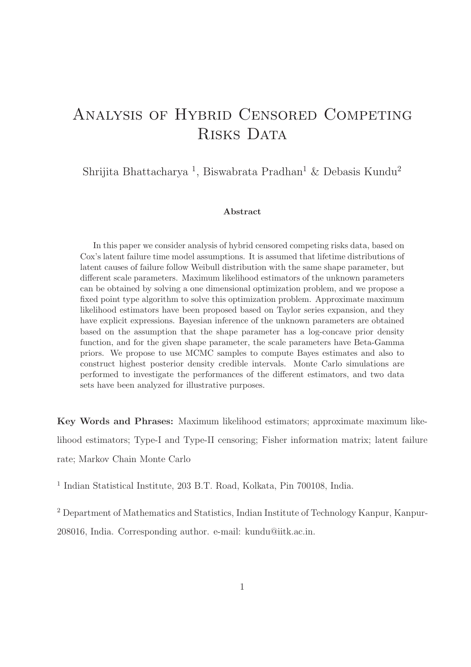# Analysis of Hybrid Censored Competing RISKS DATA

Shrijita Bhattacharya <sup>1</sup>, Biswabrata Pradhan<sup>1</sup> & Debasis Kundu<sup>2</sup>

#### Abstract

In this paper we consider analysis of hybrid censored competing risks data, based on Cox's latent failure time model assumptions. It is assumed that lifetime distributions of latent causes of failure follow Weibull distribution with the same shape parameter, but different scale parameters. Maximum likelihood estimators of the unknown parameters can be obtained by solving a one dimensional optimization problem, and we propose a fixed point type algorithm to solve this optimization problem. Approximate maximum likelihood estimators have been proposed based on Taylor series expansion, and they have explicit expressions. Bayesian inference of the unknown parameters are obtained based on the assumption that the shape parameter has a log-concave prior density function, and for the given shape parameter, the scale parameters have Beta-Gamma priors. We propose to use MCMC samples to compute Bayes estimates and also to construct highest posterior density credible intervals. Monte Carlo simulations are performed to investigate the performances of the different estimators, and two data sets have been analyzed for illustrative purposes.

Key Words and Phrases: Maximum likelihood estimators; approximate maximum likelihood estimators; Type-I and Type-II censoring; Fisher information matrix; latent failure rate; Markov Chain Monte Carlo

<sup>1</sup> Indian Statistical Institute, 203 B.T. Road, Kolkata, Pin 700108, India.

<sup>2</sup> Department of Mathematics and Statistics, Indian Institute of Technology Kanpur, Kanpur-208016, India. Corresponding author. e-mail: kundu@iitk.ac.in.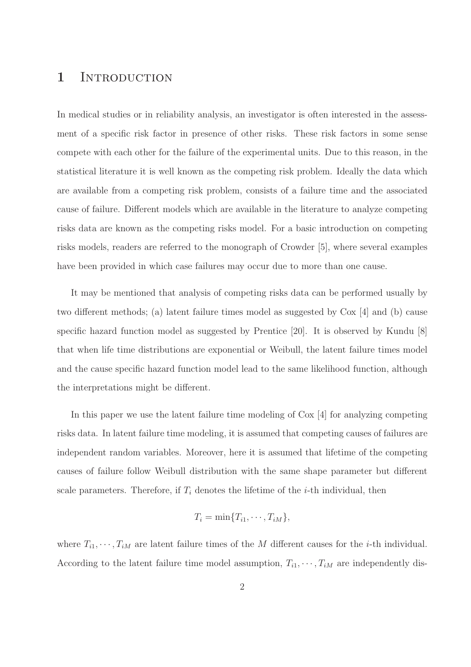### 1 INTRODUCTION

In medical studies or in reliability analysis, an investigator is often interested in the assessment of a specific risk factor in presence of other risks. These risk factors in some sense compete with each other for the failure of the experimental units. Due to this reason, in the statistical literature it is well known as the competing risk problem. Ideally the data which are available from a competing risk problem, consists of a failure time and the associated cause of failure. Different models which are available in the literature to analyze competing risks data are known as the competing risks model. For a basic introduction on competing risks models, readers are referred to the monograph of Crowder [5], where several examples have been provided in which case failures may occur due to more than one cause.

It may be mentioned that analysis of competing risks data can be performed usually by two different methods; (a) latent failure times model as suggested by  $\text{Cox}$  [4] and (b) cause specific hazard function model as suggested by Prentice [20]. It is observed by Kundu [8] that when life time distributions are exponential or Weibull, the latent failure times model and the cause specific hazard function model lead to the same likelihood function, although the interpretations might be different.

In this paper we use the latent failure time modeling of Cox [4] for analyzing competing risks data. In latent failure time modeling, it is assumed that competing causes of failures are independent random variables. Moreover, here it is assumed that lifetime of the competing causes of failure follow Weibull distribution with the same shape parameter but different scale parameters. Therefore, if  $T_i$  denotes the lifetime of the *i*-th individual, then

$$
T_i = \min\{T_{i1}, \cdots, T_{iM}\},\
$$

where  $T_{i1}, \dots, T_{iM}$  are latent failure times of the M different causes for the *i*-th individual. According to the latent failure time model assumption,  $T_{i1}, \dots, T_{iM}$  are independently dis-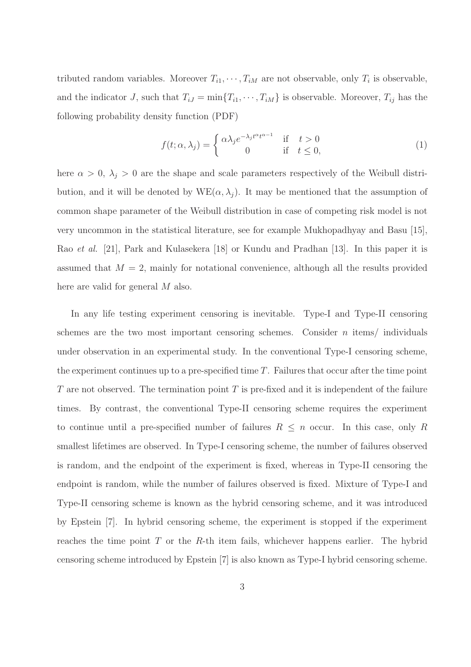tributed random variables. Moreover  $T_{i1}, \dots, T_{iM}$  are not observable, only  $T_i$  is observable, and the indicator J, such that  $T_{iJ} = \min\{T_{i1}, \dots, T_{iM}\}\$ is observable. Moreover,  $T_{ij}$  has the following probability density function (PDF)

$$
f(t; \alpha, \lambda_j) = \begin{cases} \alpha \lambda_j e^{-\lambda_j t^{\alpha} t^{\alpha - 1}} & \text{if } t > 0\\ 0 & \text{if } t \le 0, \end{cases}
$$
 (1)

here  $\alpha > 0$ ,  $\lambda_j > 0$  are the shape and scale parameters respectively of the Weibull distribution, and it will be denoted by  $WE(\alpha, \lambda_j)$ . It may be mentioned that the assumption of common shape parameter of the Weibull distribution in case of competing risk model is not very uncommon in the statistical literature, see for example Mukhopadhyay and Basu [15], Rao et al. [21], Park and Kulasekera [18] or Kundu and Pradhan [13]. In this paper it is assumed that  $M = 2$ , mainly for notational convenience, although all the results provided here are valid for general M also.

In any life testing experiment censoring is inevitable. Type-I and Type-II censoring schemes are the two most important censoring schemes. Consider  $n$  items/ individuals under observation in an experimental study. In the conventional Type-I censoring scheme, the experiment continues up to a pre-specified time  $T$ . Failures that occur after the time point T are not observed. The termination point  $T$  is pre-fixed and it is independent of the failure times. By contrast, the conventional Type-II censoring scheme requires the experiment to continue until a pre-specified number of failures  $R \leq n$  occur. In this case, only R smallest lifetimes are observed. In Type-I censoring scheme, the number of failures observed is random, and the endpoint of the experiment is fixed, whereas in Type-II censoring the endpoint is random, while the number of failures observed is fixed. Mixture of Type-I and Type-II censoring scheme is known as the hybrid censoring scheme, and it was introduced by Epstein [7]. In hybrid censoring scheme, the experiment is stopped if the experiment reaches the time point  $T$  or the  $R$ -th item fails, whichever happens earlier. The hybrid censoring scheme introduced by Epstein [7] is also known as Type-I hybrid censoring scheme.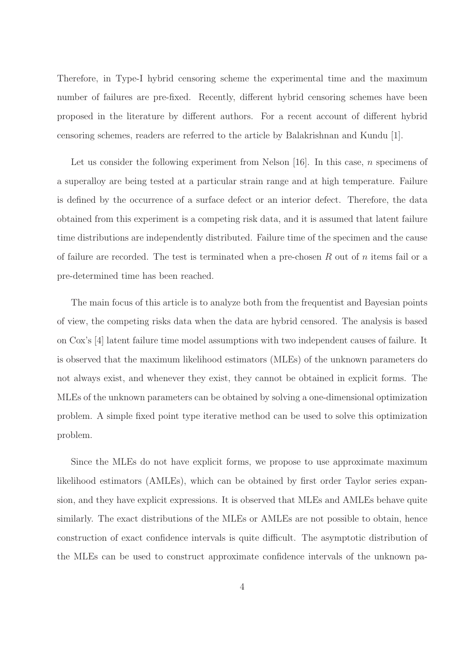Therefore, in Type-I hybrid censoring scheme the experimental time and the maximum number of failures are pre-fixed. Recently, different hybrid censoring schemes have been proposed in the literature by different authors. For a recent account of different hybrid censoring schemes, readers are referred to the article by Balakrishnan and Kundu [1].

Let us consider the following experiment from Nelson  $[16]$ . In this case, *n* specimens of a superalloy are being tested at a particular strain range and at high temperature. Failure is defined by the occurrence of a surface defect or an interior defect. Therefore, the data obtained from this experiment is a competing risk data, and it is assumed that latent failure time distributions are independently distributed. Failure time of the specimen and the cause of failure are recorded. The test is terminated when a pre-chosen  $R$  out of  $n$  items fail or a pre-determined time has been reached.

The main focus of this article is to analyze both from the frequentist and Bayesian points of view, the competing risks data when the data are hybrid censored. The analysis is based on Cox's [4] latent failure time model assumptions with two independent causes of failure. It is observed that the maximum likelihood estimators (MLEs) of the unknown parameters do not always exist, and whenever they exist, they cannot be obtained in explicit forms. The MLEs of the unknown parameters can be obtained by solving a one-dimensional optimization problem. A simple fixed point type iterative method can be used to solve this optimization problem.

Since the MLEs do not have explicit forms, we propose to use approximate maximum likelihood estimators (AMLEs), which can be obtained by first order Taylor series expansion, and they have explicit expressions. It is observed that MLEs and AMLEs behave quite similarly. The exact distributions of the MLEs or AMLEs are not possible to obtain, hence construction of exact confidence intervals is quite difficult. The asymptotic distribution of the MLEs can be used to construct approximate confidence intervals of the unknown pa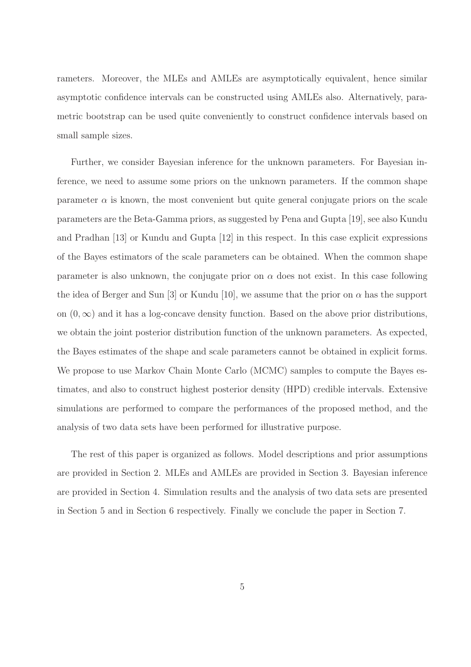rameters. Moreover, the MLEs and AMLEs are asymptotically equivalent, hence similar asymptotic confidence intervals can be constructed using AMLEs also. Alternatively, parametric bootstrap can be used quite conveniently to construct confidence intervals based on small sample sizes.

Further, we consider Bayesian inference for the unknown parameters. For Bayesian inference, we need to assume some priors on the unknown parameters. If the common shape parameter  $\alpha$  is known, the most convenient but quite general conjugate priors on the scale parameters are the Beta-Gamma priors, as suggested by Pena and Gupta [19], see also Kundu and Pradhan [13] or Kundu and Gupta [12] in this respect. In this case explicit expressions of the Bayes estimators of the scale parameters can be obtained. When the common shape parameter is also unknown, the conjugate prior on  $\alpha$  does not exist. In this case following the idea of Berger and Sun [3] or Kundu [10], we assume that the prior on  $\alpha$  has the support on  $(0, \infty)$  and it has a log-concave density function. Based on the above prior distributions, we obtain the joint posterior distribution function of the unknown parameters. As expected, the Bayes estimates of the shape and scale parameters cannot be obtained in explicit forms. We propose to use Markov Chain Monte Carlo (MCMC) samples to compute the Bayes estimates, and also to construct highest posterior density (HPD) credible intervals. Extensive simulations are performed to compare the performances of the proposed method, and the analysis of two data sets have been performed for illustrative purpose.

The rest of this paper is organized as follows. Model descriptions and prior assumptions are provided in Section 2. MLEs and AMLEs are provided in Section 3. Bayesian inference are provided in Section 4. Simulation results and the analysis of two data sets are presented in Section 5 and in Section 6 respectively. Finally we conclude the paper in Section 7.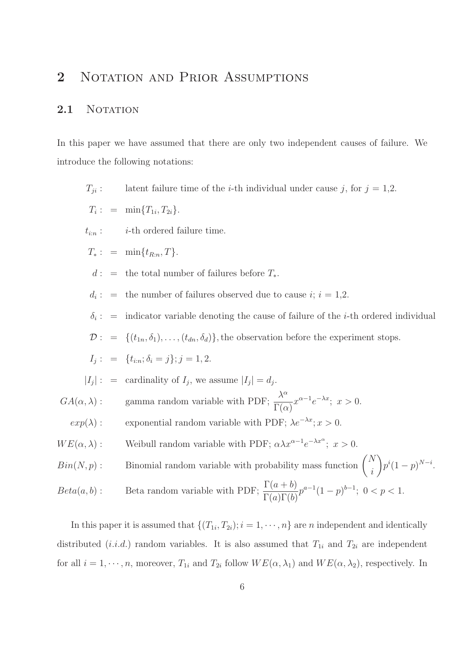## 2 NOTATION AND PRIOR ASSUMPTIONS

#### 2.1 NOTATION

In this paper we have assumed that there are only two independent causes of failure. We introduce the following notations:

 $T_{ji}$ : latent failure time of the *i*-th individual under cause j, for  $j = 1,2$ .

$$
T_i: = \min\{T_{1i}, T_{2i}\}.
$$

 $t_{i:n}$ : *i*-th ordered failure time.

$$
T_*: = \min\{t_{R:n}, T\}.
$$

 $d: =$  the total number of failures before  $T_*$ .

 $d_i: =$ the number of failures observed due to cause  $i; i = 1,2$ .

 $\delta_i$ : = indicator variable denoting the cause of failure of the *i*-th ordered individual

 $\mathcal{D}: = \{(t_{1n}, \delta_1), \ldots, (t_{dn}, \delta_d)\}\$ , the observation before the experiment stops.

$$
I_j: = \{t_{i:n}; \delta_i = j\}; j = 1, 2.
$$

$$
|I_j|
$$
: = cardinality of  $I_j$ , we assume  $|I_j| = d_j$ .

 $GA(\alpha, \lambda)$ : gamma random variable with PDF;  $\frac{\lambda^{\alpha}}{\Gamma(\alpha)}$  $\Gamma(\alpha)$  $x^{\alpha-1}e^{-\lambda x}; \ x > 0.$ 

- $exp(\lambda)$ : exponential random variable with PDF;  $\lambda e^{-\lambda x}$ ;  $x > 0$ .
- $WE(\alpha, \lambda)$ : Weibull random variable with PDF;  $\alpha \lambda x^{\alpha-1} e^{-\lambda x^{\alpha}}$ ;  $x > 0$ .

 $Bin(N, p)$ : Binomial random variable with probability mass function  $\binom{N}{p}$ i  $\overline{ }$  $p^{i}(1-p)^{N-i}.$  $Beta(a, b)$ : Beta random variable with PDF;  $\frac{\Gamma(a+b)}{\Gamma(a)\Gamma(a)}$  $\Gamma(a)\Gamma(b)$  $p^{a-1}(1-p)^{b-1}$ ; 0 < p < 1.

In this paper it is assumed that  $\{(T_{1i}, T_{2i}); i = 1, \cdots, n\}$  are *n* independent and identically distributed (*i.i.d.*) random variables. It is also assumed that  $T_{1i}$  and  $T_{2i}$  are independent for all  $i = 1, \dots, n$ , moreover,  $T_{1i}$  and  $T_{2i}$  follow  $WE(\alpha, \lambda_1)$  and  $WE(\alpha, \lambda_2)$ , respectively. In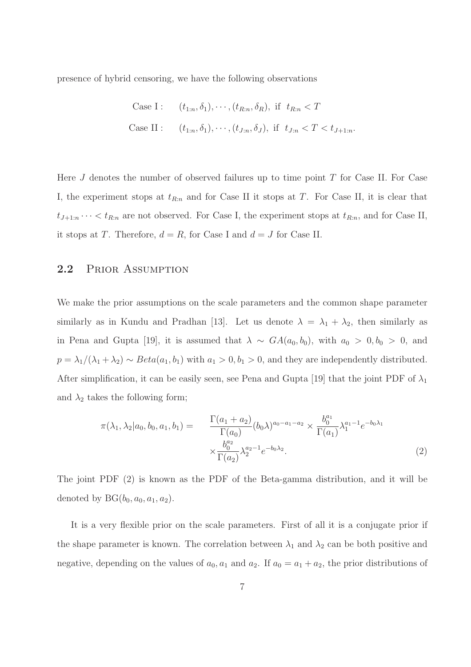presence of hybrid censoring, we have the following observations

Case I: 
$$
(t_{1:n}, \delta_1), \cdots, (t_{R:n}, \delta_R)
$$
, if  $t_{R:n} < T$   
Case II:  $(t_{1:n}, \delta_1), \cdots, (t_{J:n}, \delta_J)$ , if  $t_{J:n} < T < t_{J+1:n}$ 

Here  $J$  denotes the number of observed failures up to time point  $T$  for Case II. For Case I, the experiment stops at  $t_{R:n}$  and for Case II it stops at T. For Case II, it is clear that  $t_{J+1:n} \cdots < t_{R:n}$  are not observed. For Case I, the experiment stops at  $t_{R:n}$ , and for Case II, it stops at T. Therefore,  $d = R$ , for Case I and  $d = J$  for Case II.

#### 2.2 PRIOR ASSUMPTION

We make the prior assumptions on the scale parameters and the common shape parameter similarly as in Kundu and Pradhan [13]. Let us denote  $\lambda = \lambda_1 + \lambda_2$ , then similarly as in Pena and Gupta [19], it is assumed that  $\lambda \sim GA(a_0, b_0)$ , with  $a_0 > 0, b_0 > 0$ , and  $p = \lambda_1/(\lambda_1 + \lambda_2) \sim Beta(a_1, b_1)$  with  $a_1 > 0, b_1 > 0$ , and they are independently distributed. After simplification, it can be easily seen, see Pena and Gupta [19] that the joint PDF of  $\lambda_1$ and  $\lambda_2$  takes the following form;

$$
\pi(\lambda_1, \lambda_2 | a_0, b_0, a_1, b_1) = \frac{\Gamma(a_1 + a_2)}{\Gamma(a_0)} (b_0 \lambda)^{a_0 - a_1 - a_2} \times \frac{b_0^{a_1}}{\Gamma(a_1)} \lambda_1^{a_1 - 1} e^{-b_0 \lambda_1} \times \frac{b_0^{a_2}}{\Gamma(a_2)} \lambda_2^{a_2 - 1} e^{-b_0 \lambda_2}.
$$
\n(2)

The joint PDF (2) is known as the PDF of the Beta-gamma distribution, and it will be denoted by  $BG(b_0, a_0, a_1, a_2)$ .

It is a very flexible prior on the scale parameters. First of all it is a conjugate prior if the shape parameter is known. The correlation between  $\lambda_1$  and  $\lambda_2$  can be both positive and negative, depending on the values of  $a_0$ ,  $a_1$  and  $a_2$ . If  $a_0 = a_1 + a_2$ , the prior distributions of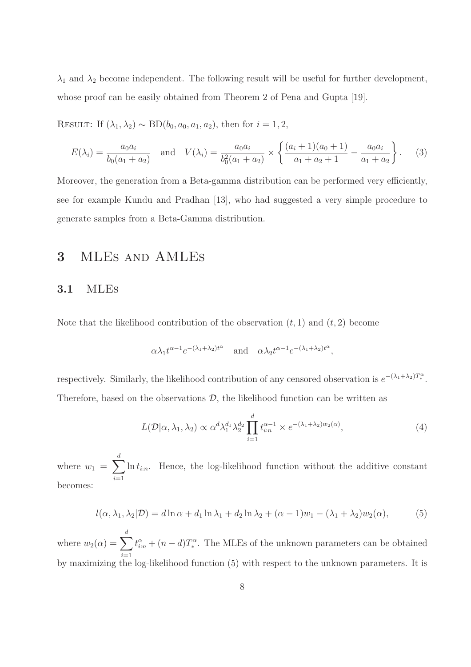$\lambda_1$  and  $\lambda_2$  become independent. The following result will be useful for further development, whose proof can be easily obtained from Theorem 2 of Pena and Gupta [19].

RESULT: If  $(\lambda_1, \lambda_2) \sim BD(b_0, a_0, a_1, a_2)$ , then for  $i = 1, 2$ ,

$$
E(\lambda_i) = \frac{a_0 a_i}{b_0 (a_1 + a_2)} \quad \text{and} \quad V(\lambda_i) = \frac{a_0 a_i}{b_0^2 (a_1 + a_2)} \times \left\{ \frac{(a_i + 1)(a_0 + 1)}{a_1 + a_2 + 1} - \frac{a_0 a_i}{a_1 + a_2} \right\}.
$$
 (3)

Moreover, the generation from a Beta-gamma distribution can be performed very efficiently, see for example Kundu and Pradhan [13], who had suggested a very simple procedure to generate samples from a Beta-Gamma distribution.

### 3 MLEs and AMLEs

#### 3.1 MLEs

Note that the likelihood contribution of the observation  $(t, 1)$  and  $(t, 2)$  become

$$
\alpha \lambda_1 t^{\alpha - 1} e^{-(\lambda_1 + \lambda_2)t^{\alpha}}
$$
 and  $\alpha \lambda_2 t^{\alpha - 1} e^{-(\lambda_1 + \lambda_2)t^{\alpha}}$ ,

respectively. Similarly, the likelihood contribution of any censored observation is  $e^{-(\lambda_1+\lambda_2)T_*^{\alpha}}$ . Therefore, based on the observations  $\mathcal{D}$ , the likelihood function can be written as

$$
L(\mathcal{D}|\alpha,\lambda_1,\lambda_2) \propto \alpha^d \lambda_1^{d_1} \lambda_2^{d_2} \prod_{i=1}^d t_{i:n}^{\alpha-1} \times e^{-(\lambda_1 + \lambda_2)w_2(\alpha)},\tag{4}
$$

where  $w_1 = \sum^d$  $i=1$  $\ln t_{i:n}$ . Hence, the log-likelihood function without the additive constant becomes:

$$
l(\alpha, \lambda_1, \lambda_2 | \mathcal{D}) = d \ln \alpha + d_1 \ln \lambda_1 + d_2 \ln \lambda_2 + (\alpha - 1) w_1 - (\lambda_1 + \lambda_2) w_2(\alpha),
$$
 (5)

where  $w_2(\alpha) = \sum^{d}$  $i=1$  $t_{i:n}^{\alpha} + (n-d)T_*^{\alpha}$ . The MLEs of the unknown parameters can be obtained by maximizing the log-likelihood function (5) with respect to the unknown parameters. It is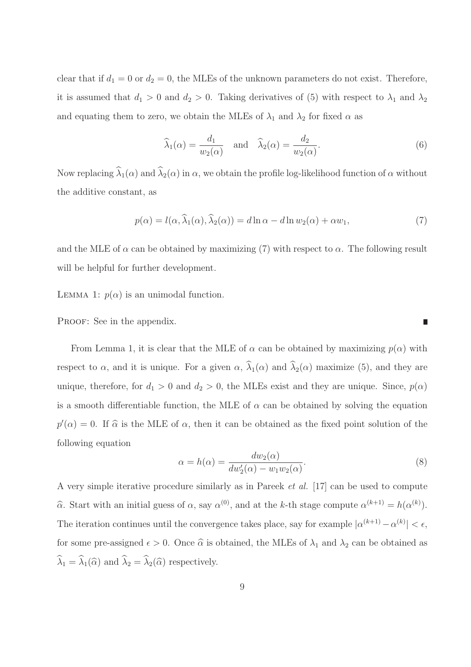clear that if  $d_1 = 0$  or  $d_2 = 0$ , the MLEs of the unknown parameters do not exist. Therefore, it is assumed that  $d_1 > 0$  and  $d_2 > 0$ . Taking derivatives of (5) with respect to  $\lambda_1$  and  $\lambda_2$ and equating them to zero, we obtain the MLEs of  $\lambda_1$  and  $\lambda_2$  for fixed  $\alpha$  as

$$
\widehat{\lambda}_1(\alpha) = \frac{d_1}{w_2(\alpha)} \quad \text{and} \quad \widehat{\lambda}_2(\alpha) = \frac{d_2}{w_2(\alpha)}.
$$
\n(6)

Now replacing  $\hat{\lambda}_1(\alpha)$  and  $\hat{\lambda}_2(\alpha)$  in  $\alpha$ , we obtain the profile log-likelihood function of  $\alpha$  without the additive constant, as

$$
p(\alpha) = l(\alpha, \widehat{\lambda}_1(\alpha), \widehat{\lambda}_2(\alpha)) = d \ln \alpha - d \ln w_2(\alpha) + \alpha w_1,\tag{7}
$$

and the MLE of  $\alpha$  can be obtained by maximizing (7) with respect to  $\alpha$ . The following result will be helpful for further development.

LEMMA 1:  $p(\alpha)$  is an unimodal function.

PROOF: See in the appendix.

From Lemma 1, it is clear that the MLE of  $\alpha$  can be obtained by maximizing  $p(\alpha)$  with respect to  $\alpha$ , and it is unique. For a given  $\alpha$ ,  $\widehat{\lambda}_1(\alpha)$  and  $\widehat{\lambda}_2(\alpha)$  maximize (5), and they are unique, therefore, for  $d_1 > 0$  and  $d_2 > 0$ , the MLEs exist and they are unique. Since,  $p(\alpha)$ is a smooth differentiable function, the MLE of  $\alpha$  can be obtained by solving the equation  $p'(\alpha) = 0$ . If  $\widehat{\alpha}$  is the MLE of  $\alpha$ , then it can be obtained as the fixed point solution of the following equation

$$
\alpha = h(\alpha) = \frac{dw_2(\alpha)}{dw'_2(\alpha) - w_1w_2(\alpha)}.\tag{8}
$$

П

A very simple iterative procedure similarly as in Pareek et al. [17] can be used to compute  $\hat{\alpha}$ . Start with an initial guess of  $\alpha$ , say  $\alpha^{(0)}$ , and at the k-th stage compute  $\alpha^{(k+1)} = h(\alpha^{(k)})$ . The iteration continues until the convergence takes place, say for example  $|\alpha^{(k+1)} - \alpha^{(k)}| < \epsilon$ , for some pre-assigned  $\epsilon > 0$ . Once  $\hat{\alpha}$  is obtained, the MLEs of  $\lambda_1$  and  $\lambda_2$  can be obtained as  $\widehat{\lambda}_1 = \widehat{\lambda}_1(\widehat{\alpha})$  and  $\widehat{\lambda}_2 = \widehat{\lambda}_2(\widehat{\alpha})$  respectively.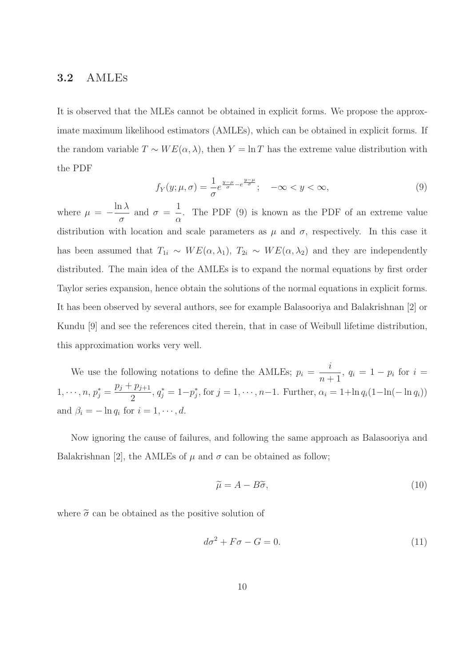#### 3.2 AMLEs

It is observed that the MLEs cannot be obtained in explicit forms. We propose the approximate maximum likelihood estimators (AMLEs), which can be obtained in explicit forms. If the random variable  $T \sim WE(\alpha, \lambda)$ , then  $Y = \ln T$  has the extreme value distribution with the PDF

$$
f_Y(y; \mu, \sigma) = \frac{1}{\sigma} e^{\frac{y-\mu}{\sigma} - e^{\frac{y-\mu}{\sigma}}}; \quad -\infty < y < \infty,
$$
\n<sup>(9)</sup>

where  $\mu = \ln \lambda$ σ and  $\sigma =$ 1 α . The PDF (9) is known as the PDF of an extreme value distribution with location and scale parameters as  $\mu$  and  $\sigma$ , respectively. In this case it has been assumed that  $T_{1i} \sim WE(\alpha, \lambda_1)$ ,  $T_{2i} \sim WE(\alpha, \lambda_2)$  and they are independently distributed. The main idea of the AMLEs is to expand the normal equations by first order Taylor series expansion, hence obtain the solutions of the normal equations in explicit forms. It has been observed by several authors, see for example Balasooriya and Balakrishnan [2] or Kundu [9] and see the references cited therein, that in case of Weibull lifetime distribution, this approximation works very well.

We use the following notations to define the AMLEs;  $p_i =$ i  $\frac{i}{n+1}$ ,  $q_i = 1 - p_i$  for  $i =$  $1, \cdots, n, p_j^* =$  $p_j + p_{j+1}$ 2  $, q_j^* = 1-p_j^*$  $j^*$ , for  $j = 1, \dots, n-1$ . Further,  $\alpha_i = 1 + \ln q_i(1 - \ln(-\ln q_i))$ and  $\beta_i = -\ln q_i$  for  $i = 1, \dots, d$ .

Now ignoring the cause of failures, and following the same approach as Balasooriya and Balakrishnan [2], the AMLEs of  $\mu$  and  $\sigma$  can be obtained as follow;

$$
\widetilde{\mu} = A - B\widetilde{\sigma},\tag{10}
$$

where  $\tilde{\sigma}$  can be obtained as the positive solution of

$$
d\sigma^2 + F\sigma - G = 0. \tag{11}
$$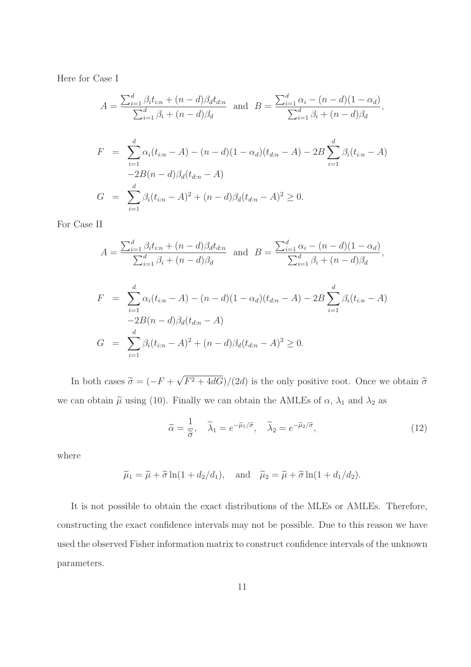Here for Case I

$$
A = \frac{\sum_{i=1}^{d} \beta_{i} t_{i:n} + (n - d) \beta_{d} t_{d:n}}{\sum_{i=1}^{d} \beta_{i} + (n - d) \beta_{d}} \text{ and } B = \frac{\sum_{i=1}^{d} \alpha_{i} - (n - d)(1 - \alpha_{d})}{\sum_{i=1}^{d} \beta_{i} + (n - d) \beta_{d}},
$$
  
\n
$$
F = \sum_{i=1}^{d} \alpha_{i} (t_{i:n} - A) - (n - d)(1 - \alpha_{d}) (t_{d:n} - A) - 2B \sum_{i=1}^{d} \beta_{i} (t_{i:n} - A)
$$
  
\n
$$
G = \sum_{i=1}^{d} \beta_{i} (t_{i:n} - A)^{2} + (n - d) \beta_{d} (t_{d:n} - A)^{2} \geq 0.
$$

For Case II

$$
A = \frac{\sum_{i=1}^{d} \beta_{i} t_{i:n} + (n - d) \beta_{d} t_{d:n}}{\sum_{i=1}^{d} \beta_{i} + (n - d) \beta_{d}} \text{ and } B = \frac{\sum_{i=1}^{d} \alpha_{i} - (n - d)(1 - \alpha_{d})}{\sum_{i=1}^{d} \beta_{i} + (n - d) \beta_{d}},
$$
  
\n
$$
F = \sum_{i=1}^{d} \alpha_{i} (t_{i:n} - A) - (n - d)(1 - \alpha_{d}) (t_{d:n} - A) - 2B \sum_{i=1}^{d} \beta_{i} (t_{i:n} - A)
$$
  
\n
$$
-2B(n - d) \beta_{d} (t_{d:n} - A)
$$
  
\n
$$
G = \sum_{i=1}^{d} \beta_{i} (t_{i:n} - A)^{2} + (n - d) \beta_{d} (t_{d:n} - A)^{2} \geq 0.
$$

In both cases  $\tilde{\sigma} = (-F + \sqrt{F^2 + 4dG})/(2d)$  is the only positive root. Once we obtain  $\tilde{\sigma}$ we can obtain  $\tilde{\mu}$  using (10). Finally we can obtain the AMLEs of  $\alpha$ ,  $\lambda_1$  and  $\lambda_2$  as

$$
\widetilde{\alpha} = \frac{1}{\widetilde{\sigma}}, \quad \widetilde{\lambda}_1 = e^{-\widetilde{\mu}_1/\widetilde{\sigma}}, \quad \widetilde{\lambda}_2 = e^{-\widetilde{\mu}_2/\widetilde{\sigma}}, \tag{12}
$$

where

$$
\widetilde{\mu}_1 = \widetilde{\mu} + \widetilde{\sigma} \ln(1 + d_2/d_1), \text{ and } \widetilde{\mu}_2 = \widetilde{\mu} + \widetilde{\sigma} \ln(1 + d_1/d_2).
$$

It is not possible to obtain the exact distributions of the MLEs or AMLEs. Therefore, constructing the exact confidence intervals may not be possible. Due to this reason we have used the observed Fisher information matrix to construct confidence intervals of the unknown parameters.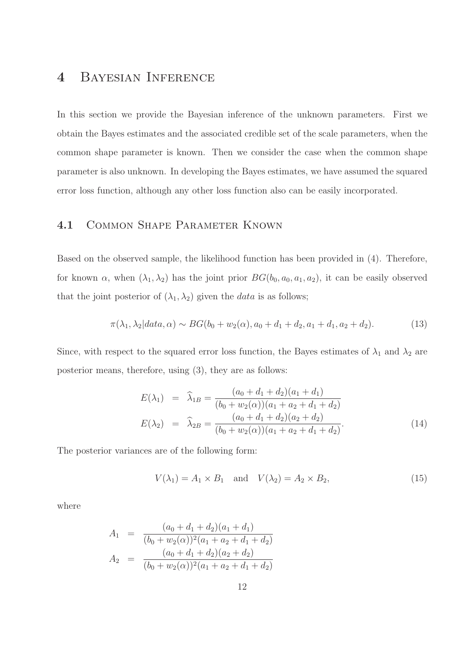## 4 Bayesian Inference

In this section we provide the Bayesian inference of the unknown parameters. First we obtain the Bayes estimates and the associated credible set of the scale parameters, when the common shape parameter is known. Then we consider the case when the common shape parameter is also unknown. In developing the Bayes estimates, we have assumed the squared error loss function, although any other loss function also can be easily incorporated.

#### 4.1 Common Shape Parameter Known

Based on the observed sample, the likelihood function has been provided in (4). Therefore, for known  $\alpha$ , when  $(\lambda_1, \lambda_2)$  has the joint prior  $BG(b_0, a_0, a_1, a_2)$ , it can be easily observed that the joint posterior of  $(\lambda_1, \lambda_2)$  given the *data* is as follows;

$$
\pi(\lambda_1, \lambda_2 | data, \alpha) \sim BG(b_0 + w_2(\alpha), a_0 + d_1 + d_2, a_1 + d_1, a_2 + d_2). \tag{13}
$$

Since, with respect to the squared error loss function, the Bayes estimates of  $\lambda_1$  and  $\lambda_2$  are posterior means, therefore, using (3), they are as follows:

$$
E(\lambda_1) = \widehat{\lambda}_{1B} = \frac{(a_0 + d_1 + d_2)(a_1 + d_1)}{(b_0 + w_2(\alpha))(a_1 + a_2 + d_1 + d_2)}
$$
  
\n
$$
E(\lambda_2) = \widehat{\lambda}_{2B} = \frac{(a_0 + d_1 + d_2)(a_2 + d_2)}{(b_0 + w_2(\alpha))(a_1 + a_2 + d_1 + d_2)}.
$$
\n(14)

The posterior variances are of the following form:

$$
V(\lambda_1) = A_1 \times B_1 \quad \text{and} \quad V(\lambda_2) = A_2 \times B_2,\tag{15}
$$

where

$$
A_1 = \frac{(a_0 + d_1 + d_2)(a_1 + d_1)}{(b_0 + w_2(\alpha))^2 (a_1 + a_2 + d_1 + d_2)}
$$
  
\n
$$
A_2 = \frac{(a_0 + d_1 + d_2)(a_2 + d_2)}{(b_0 + w_2(\alpha))^2 (a_1 + a_2 + d_1 + d_2)}
$$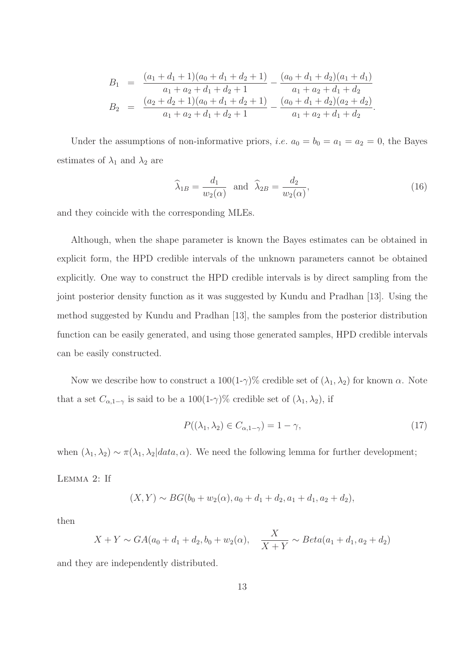$$
B_1 = \frac{(a_1 + d_1 + 1)(a_0 + d_1 + d_2 + 1)}{a_1 + a_2 + d_1 + d_2 + 1} - \frac{(a_0 + d_1 + d_2)(a_1 + d_1)}{a_1 + a_2 + d_1 + d_2}
$$
  
\n
$$
B_2 = \frac{(a_2 + d_2 + 1)(a_0 + d_1 + d_2 + 1)}{a_1 + a_2 + d_1 + d_2 + 1} - \frac{(a_0 + d_1 + d_2)(a_2 + d_2)}{a_1 + a_2 + d_1 + d_2}.
$$

Under the assumptions of non-informative priors, *i.e.*  $a_0 = b_0 = a_1 = a_2 = 0$ , the Bayes estimates of  $\lambda_1$  and  $\lambda_2$  are

$$
\widehat{\lambda}_{1B} = \frac{d_1}{w_2(\alpha)} \quad \text{and} \quad \widehat{\lambda}_{2B} = \frac{d_2}{w_2(\alpha)},\tag{16}
$$

and they coincide with the corresponding MLEs.

Although, when the shape parameter is known the Bayes estimates can be obtained in explicit form, the HPD credible intervals of the unknown parameters cannot be obtained explicitly. One way to construct the HPD credible intervals is by direct sampling from the joint posterior density function as it was suggested by Kundu and Pradhan [13]. Using the method suggested by Kundu and Pradhan [13], the samples from the posterior distribution function can be easily generated, and using those generated samples, HPD credible intervals can be easily constructed.

Now we describe how to construct a  $100(1-\gamma)\%$  credible set of  $(\lambda_1, \lambda_2)$  for known  $\alpha$ . Note that a set  $C_{\alpha,1-\gamma}$  is said to be a 100(1-γ)% credible set of  $(\lambda_1, \lambda_2)$ , if

$$
P((\lambda_1, \lambda_2) \in C_{\alpha, 1-\gamma}) = 1 - \gamma,
$$
\n(17)

when  $(\lambda_1, \lambda_2) \sim \pi(\lambda_1, \lambda_2 | data, \alpha)$ . We need the following lemma for further development;

Lemma 2: If

$$
(X,Y) \sim BG(b_0 + w_2(\alpha), a_0 + d_1 + d_2, a_1 + d_1, a_2 + d_2),
$$

then

$$
X + Y \sim GA(a_0 + d_1 + d_2, b_0 + w_2(\alpha), \quad \frac{X}{X + Y} \sim Beta(a_1 + d_1, a_2 + d_2)
$$

and they are independently distributed.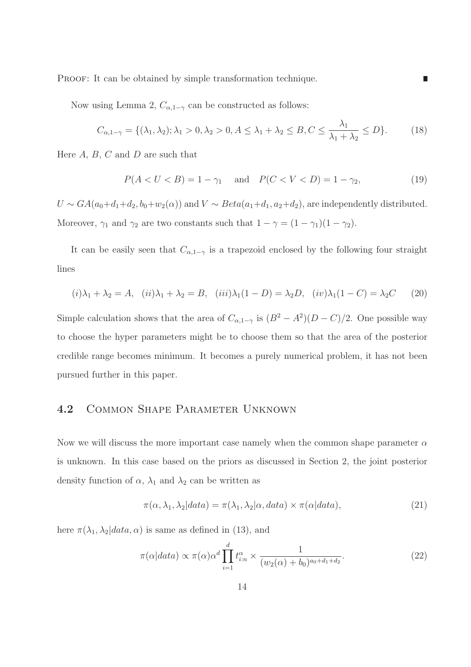PROOF: It can be obtained by simple transformation technique.

Now using Lemma 2,  $C_{\alpha,1-\gamma}$  can be constructed as follows:

$$
C_{\alpha,1-\gamma} = \{ (\lambda_1, \lambda_2); \lambda_1 > 0, \lambda_2 > 0, A \le \lambda_1 + \lambda_2 \le B, C \le \frac{\lambda_1}{\lambda_1 + \lambda_2} \le D \}. \tag{18}
$$

Here  $A, B, C$  and  $D$  are such that

$$
P(A < U < B) = 1 - \gamma_1 \quad \text{and} \quad P(C < V < D) = 1 - \gamma_2,\tag{19}
$$

П

 $U \sim GA(a_0+d_1+d_2, b_0+w_2(\alpha))$  and  $V \sim Beta(a_1+d_1, a_2+d_2)$ , are independently distributed. Moreover,  $\gamma_1$  and  $\gamma_2$  are two constants such that  $1 - \gamma = (1 - \gamma_1)(1 - \gamma_2)$ .

It can be easily seen that  $C_{\alpha,1-\gamma}$  is a trapezoid enclosed by the following four straight lines

$$
(i)\lambda_1 + \lambda_2 = A, \quad (ii)\lambda_1 + \lambda_2 = B, \quad (iii)\lambda_1(1 - D) = \lambda_2 D, \quad (iv)\lambda_1(1 - C) = \lambda_2 C \tag{20}
$$

Simple calculation shows that the area of  $C_{\alpha,1-\gamma}$  is  $(B^2 - A^2)(D - C)/2$ . One possible way to choose the hyper parameters might be to choose them so that the area of the posterior credible range becomes minimum. It becomes a purely numerical problem, it has not been pursued further in this paper.

#### 4.2 Common Shape Parameter Unknown

Now we will discuss the more important case namely when the common shape parameter  $\alpha$ is unknown. In this case based on the priors as discussed in Section 2, the joint posterior density function of  $\alpha$ ,  $\lambda_1$  and  $\lambda_2$  can be written as

$$
\pi(\alpha, \lambda_1, \lambda_2 | data) = \pi(\lambda_1, \lambda_2 | \alpha, data) \times \pi(\alpha | data), \tag{21}
$$

here  $\pi(\lambda_1, \lambda_2|data, \alpha)$  is same as defined in (13), and

$$
\pi(\alpha|data) \propto \pi(\alpha)\alpha^d \prod_{i=1}^d t_{i:n}^{\alpha} \times \frac{1}{(w_2(\alpha) + b_0)^{a_0 + d_1 + d_2}}.\tag{22}
$$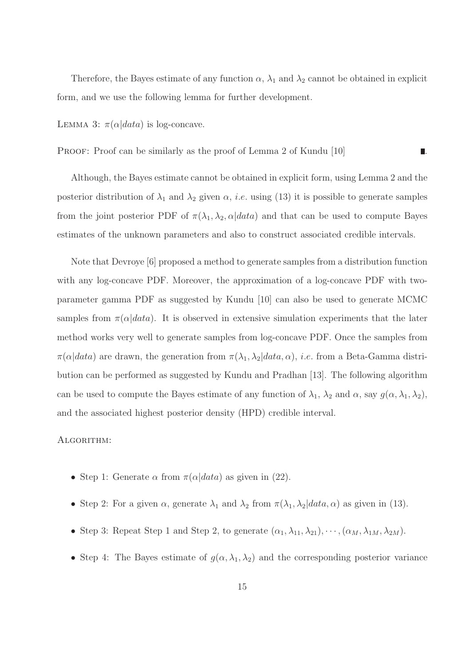Therefore, the Bayes estimate of any function  $\alpha$ ,  $\lambda_1$  and  $\lambda_2$  cannot be obtained in explicit form, and we use the following lemma for further development.

LEMMA 3:  $\pi(\alpha|data)$  is log-concave.

PROOF: Proof can be similarly as the proof of Lemma 2 of Kundu [10]

Although, the Bayes estimate cannot be obtained in explicit form, using Lemma 2 and the posterior distribution of  $\lambda_1$  and  $\lambda_2$  given  $\alpha$ , *i.e.* using (13) it is possible to generate samples from the joint posterior PDF of  $\pi(\lambda_1, \lambda_2, \alpha|data)$  and that can be used to compute Bayes estimates of the unknown parameters and also to construct associated credible intervals.

Note that Devroye [6] proposed a method to generate samples from a distribution function with any log-concave PDF. Moreover, the approximation of a log-concave PDF with twoparameter gamma PDF as suggested by Kundu [10] can also be used to generate MCMC samples from  $\pi(\alpha|data)$ . It is observed in extensive simulation experiments that the later method works very well to generate samples from log-concave PDF. Once the samples from  $\pi(\alpha|data)$  are drawn, the generation from  $\pi(\lambda_1, \lambda_2|data, \alpha)$ , *i.e.* from a Beta-Gamma distribution can be performed as suggested by Kundu and Pradhan [13]. The following algorithm can be used to compute the Bayes estimate of any function of  $\lambda_1$ ,  $\lambda_2$  and  $\alpha$ , say  $g(\alpha, \lambda_1, \lambda_2)$ , and the associated highest posterior density (HPD) credible interval.

#### ALGORITHM:

- Step 1: Generate  $\alpha$  from  $\pi(\alpha|data)$  as given in (22).
- Step 2: For a given  $\alpha$ , generate  $\lambda_1$  and  $\lambda_2$  from  $\pi(\lambda_1, \lambda_2|data, \alpha)$  as given in (13).
- Step 3: Repeat Step 1 and Step 2, to generate  $(\alpha_1, \lambda_{11}, \lambda_{21}), \cdots, (\alpha_M, \lambda_{1M}, \lambda_{2M}).$
- Step 4: The Bayes estimate of  $g(\alpha, \lambda_1, \lambda_2)$  and the corresponding posterior variance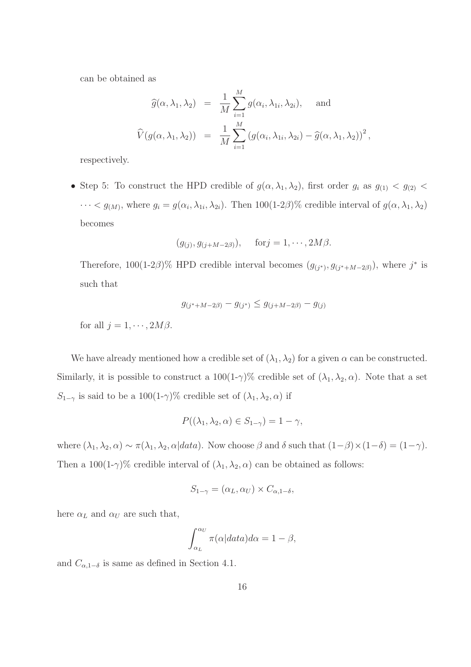can be obtained as

$$
\widehat{g}(\alpha, \lambda_1, \lambda_2) = \frac{1}{M} \sum_{i=1}^{M} g(\alpha_i, \lambda_{1i}, \lambda_{2i}), \text{ and}
$$
  

$$
\widehat{V}(g(\alpha, \lambda_1, \lambda_2)) = \frac{1}{M} \sum_{i=1}^{M} (g(\alpha_i, \lambda_{1i}, \lambda_{2i}) - \widehat{g}(\alpha, \lambda_1, \lambda_2))^2
$$

,

respectively.

• Step 5: To construct the HPD credible of  $g(\alpha, \lambda_1, \lambda_2)$ , first order  $g_i$  as  $g_{(1)} < g_{(2)} <$  $\cdots < g_{(M)}$ , where  $g_i = g(\alpha_i, \lambda_{1i}, \lambda_{2i})$ . Then 100(1-2 $\beta$ )% credible interval of  $g(\alpha, \lambda_1, \lambda_2)$ becomes

$$
(g_{(j)}, g_{(j+M-2\beta)}),
$$
 for  $j = 1, \dots, 2M\beta$ .

Therefore,  $100(1-2\beta)\%$  HPD credible interval becomes  $(g_{(j^*)}, g_{(j^*+M-2\beta)})$ , where  $j^*$  is such that

$$
g_{(j^* + M - 2\beta)} - g_{(j^*)} \le g_{(j + M - 2\beta)} - g_{(j)}
$$

for all  $j = 1, \cdots, 2M\beta$ .

We have already mentioned how a credible set of  $(\lambda_1, \lambda_2)$  for a given  $\alpha$  can be constructed. Similarly, it is possible to construct a  $100(1-\gamma)\%$  credible set of  $(\lambda_1, \lambda_2, \alpha)$ . Note that a set  $S_{1-\gamma}$  is said to be a 100(1-γ)% credible set of  $(\lambda_1, \lambda_2, \alpha)$  if

$$
P((\lambda_1, \lambda_2, \alpha) \in S_{1-\gamma}) = 1 - \gamma,
$$

where  $(\lambda_1, \lambda_2, \alpha) \sim \pi(\lambda_1, \lambda_2, \alpha | data)$ . Now choose  $\beta$  and  $\delta$  such that  $(1-\beta) \times (1-\delta) = (1-\gamma)$ . Then a 100(1-γ)% credible interval of  $(\lambda_1, \lambda_2, \alpha)$  can be obtained as follows:

$$
S_{1-\gamma} = (\alpha_L, \alpha_U) \times C_{\alpha, 1-\delta},
$$

here  $\alpha_L$  and  $\alpha_U$  are such that,

$$
\int_{\alpha_L}^{\alpha_U} \pi(\alpha|data)d\alpha = 1 - \beta,
$$

and  $C_{\alpha,1-\delta}$  is same as defined in Section 4.1.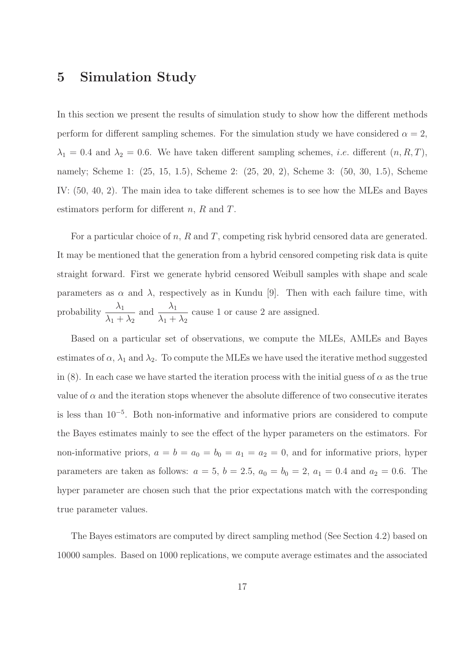### 5 Simulation Study

In this section we present the results of simulation study to show how the different methods perform for different sampling schemes. For the simulation study we have considered  $\alpha = 2$ ,  $\lambda_1 = 0.4$  and  $\lambda_2 = 0.6$ . We have taken different sampling schemes, *i.e.* different  $(n, R, T)$ , namely; Scheme 1: (25, 15, 1.5), Scheme 2: (25, 20, 2), Scheme 3: (50, 30, 1.5), Scheme IV: (50, 40, 2). The main idea to take different schemes is to see how the MLEs and Bayes estimators perform for different n, R and T.

For a particular choice of  $n$ ,  $R$  and  $T$ , competing risk hybrid censored data are generated. It may be mentioned that the generation from a hybrid censored competing risk data is quite straight forward. First we generate hybrid censored Weibull samples with shape and scale parameters as  $\alpha$  and  $\lambda$ , respectively as in Kundu [9]. Then with each failure time, with probability  $\frac{\lambda_1}{\lambda_2}$  $\lambda_1 + \lambda_2$ and  $\frac{\lambda_1}{\lambda_2}$  $\lambda_1 + \lambda_2$ cause 1 or cause 2 are assigned.

Based on a particular set of observations, we compute the MLEs, AMLEs and Bayes estimates of  $\alpha$ ,  $\lambda_1$  and  $\lambda_2$ . To compute the MLEs we have used the iterative method suggested in (8). In each case we have started the iteration process with the initial guess of  $\alpha$  as the true value of  $\alpha$  and the iteration stops whenever the absolute difference of two consecutive iterates is less than 10<sup>−</sup><sup>5</sup> . Both non-informative and informative priors are considered to compute the Bayes estimates mainly to see the effect of the hyper parameters on the estimators. For non-informative priors,  $a = b = a_0 = b_0 = a_1 = a_2 = 0$ , and for informative priors, hyper parameters are taken as follows:  $a = 5$ ,  $b = 2.5$ ,  $a_0 = b_0 = 2$ ,  $a_1 = 0.4$  and  $a_2 = 0.6$ . The hyper parameter are chosen such that the prior expectations match with the corresponding true parameter values.

The Bayes estimators are computed by direct sampling method (See Section 4.2) based on 10000 samples. Based on 1000 replications, we compute average estimates and the associated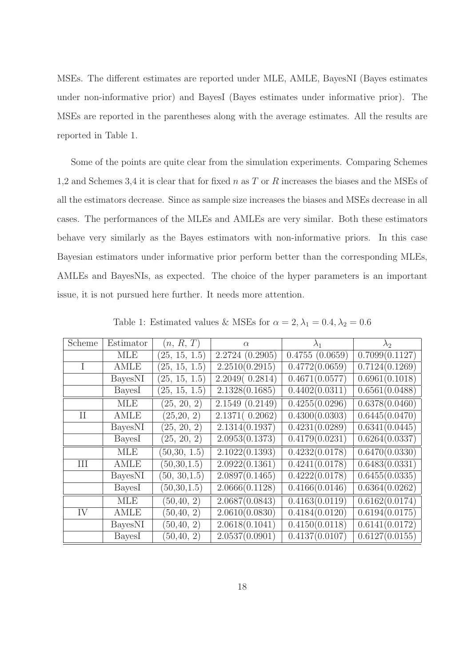MSEs. The different estimates are reported under MLE, AMLE, BayesNI (Bayes estimates under non-informative prior) and BayesI (Bayes estimates under informative prior). The MSEs are reported in the parentheses along with the average estimates. All the results are reported in Table 1.

Some of the points are quite clear from the simulation experiments. Comparing Schemes 1,2 and Schemes 3,4 it is clear that for fixed  $n$  as  $T$  or  $R$  increases the biases and the MSEs of all the estimators decrease. Since as sample size increases the biases and MSEs decrease in all cases. The performances of the MLEs and AMLEs are very similar. Both these estimators behave very similarly as the Bayes estimators with non-informative priors. In this case Bayesian estimators under informative prior perform better than the corresponding MLEs, AMLEs and BayesNIs, as expected. The choice of the hyper parameters is an important issue, it is not pursued here further. It needs more attention.

| Scheme   | Estimator      | (n, R, T)     | $\alpha$        | $\lambda_1$                  | $\lambda_2$                 |
|----------|----------------|---------------|-----------------|------------------------------|-----------------------------|
|          | <b>MLE</b>     | (25, 15, 1.5) | 2.2724 (0.2905) | $\overline{0.4755}$ (0.0659) | 0.7099(0.1127)              |
|          | AMLE           | (25, 15, 1.5) | 2.2510(0.2915)  | 0.4772(0.0659)               | 0.7124(0.1269)              |
|          | BayesNI        | (25, 15, 1.5) | 2.2049(0.2814)  | 0.4671(0.0577)               | 0.6961(0.1018)              |
|          | BayesI         | (25, 15, 1.5) | 2.1328(0.1685)  | 0.4402(0.0311)               | 0.6561(0.0488)              |
|          | <b>MLE</b>     | (25, 20, 2)   | 2.1549(0.2149)  | 0.4255(0.0296)               | 0.6378(0.0460)              |
| $\rm II$ | <b>AMLE</b>    | (25, 20, 2)   | 2.1371(0.2062)  | 0.4300(0.0303)               | 0.6445(0.0470)              |
|          | <b>BayesNI</b> | (25, 20, 2)   | 2.1314(0.1937)  | 0.4231(0.0289)               | 0.6341(0.0445)              |
|          | BayesI         | (25, 20, 2)   | 2.0953(0.1373)  | 0.4179(0.0231)               | 0.6264(0.0337)              |
|          | <b>MLE</b>     | (50,30, 1.5)  | 2.1022(0.1393)  | 0.4232(0.0178)               | 0.6470(0.0330)              |
| III      | <b>AMLE</b>    | (50, 30, 1.5) | 2.0922(0.1361)  | $\overline{0.4241(0.0178)}$  | 0.6483(0.0331)              |
|          | BayesNI        | (50, 30, 1.5) | 2.0897(0.1465)  | 0.4222(0.0178)               | 0.6455(0.0335)              |
|          | BayesI         | (50,30,1.5)   | 2.0666(0.1128)  | 0.4166(0.0146)               | 0.6364(0.0262)              |
|          | <b>MLE</b>     | (50, 40, 2)   | 2.0687(0.0843)  | 0.4163(0.0119)               | 0.6162(0.0174)              |
| IV       | <b>AMLE</b>    | (50, 40, 2)   | 2.0610(0.0830)  | 0.4184(0.0120)               | 0.6194(0.0175)              |
|          | BayesNI        | (50, 40, 2)   | 2.0618(0.1041)  | 0.4150(0.0118)               | 0.6141(0.0172)              |
|          | BayesI         | (50, 40, 2)   | 2.0537(0.0901)  | 0.4137(0.0107)               | $\overline{0.6127(0.0155)}$ |

Table 1: Estimated values & MSEs for  $\alpha = 2, \lambda_1 = 0.4, \lambda_2 = 0.6$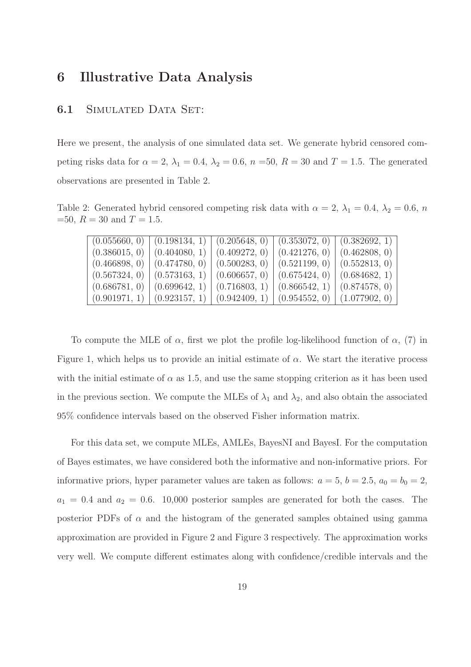## 6 Illustrative Data Analysis

#### 6.1 Simulated Data Set:

Here we present, the analysis of one simulated data set. We generate hybrid censored competing risks data for  $\alpha = 2$ ,  $\lambda_1 = 0.4$ ,  $\lambda_2 = 0.6$ ,  $n = 50$ ,  $R = 30$  and  $T = 1.5$ . The generated observations are presented in Table 2.

Table 2: Generated hybrid censored competing risk data with  $\alpha = 2$ ,  $\lambda_1 = 0.4$ ,  $\lambda_2 = 0.6$ , n  $=50, R = 30 \text{ and } T = 1.5.$ 

|               | $(0.055660, 0)$ $(0.198134, 1)$ |               | $(0.205648, 0)$ $(0.353072, 0)$ $(0.382692, 1)$ |               |
|---------------|---------------------------------|---------------|-------------------------------------------------|---------------|
| (0.386015, 0) | (0.404080, 1)                   | (0.409272, 0) | (0.421276, 0) (0.462808, 0)                     |               |
| (0.466898, 0) | (0.474780, 0)                   |               | $(0.500283, 0)$ $(0.521199, 0)$ $(0.552813, 0)$ |               |
| (0.567324, 0) | (0.573163, 1)                   | (0.606657, 0) | (0.675424, 0) (0.684682, 1)                     |               |
| (0.686781, 0) | (0.699642, 1)                   | (0.716803, 1) | (0.866542, 1)                                   | (0.874578, 0) |
|               | $(0.901971, 1)$ $(0.923157, 1)$ |               | $(0.942409, 1) (0.954552, 0) (1.077902, 0)$     |               |

To compute the MLE of  $\alpha$ , first we plot the profile log-likelihood function of  $\alpha$ , (7) in Figure 1, which helps us to provide an initial estimate of  $\alpha$ . We start the iterative process with the initial estimate of  $\alpha$  as 1.5, and use the same stopping criterion as it has been used in the previous section. We compute the MLEs of  $\lambda_1$  and  $\lambda_2$ , and also obtain the associated 95% confidence intervals based on the observed Fisher information matrix.

For this data set, we compute MLEs, AMLEs, BayesNI and BayesI. For the computation of Bayes estimates, we have considered both the informative and non-informative priors. For informative priors, hyper parameter values are taken as follows:  $a = 5$ ,  $b = 2.5$ ,  $a_0 = b_0 = 2$ ,  $a_1 = 0.4$  and  $a_2 = 0.6$ . 10,000 posterior samples are generated for both the cases. The posterior PDFs of  $\alpha$  and the histogram of the generated samples obtained using gamma approximation are provided in Figure 2 and Figure 3 respectively. The approximation works very well. We compute different estimates along with confidence/credible intervals and the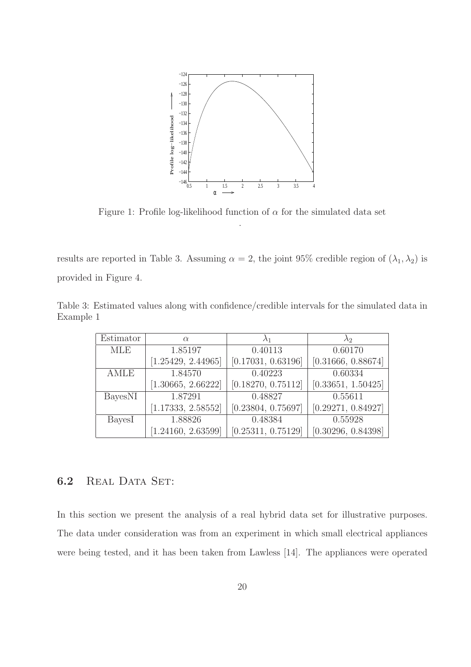

Figure 1: Profile log-likelihood function of  $\alpha$  for the simulated data set .

results are reported in Table 3. Assuming  $\alpha = 2$ , the joint 95% credible region of  $(\lambda_1, \lambda_2)$  is provided in Figure 4.

Table 3: Estimated values along with confidence/credible intervals for the simulated data in Example 1

| Estimator   | $\alpha$           |                    | $\lambda_2$        |
|-------------|--------------------|--------------------|--------------------|
| <b>MLE</b>  | 1.85197            | 0.40113            | 0.60170            |
|             | [1.25429, 2.44965] | [0.17031, 0.63196] | [0.31666, 0.88674] |
| <b>AMLE</b> | 1.84570            | 0.40223            | 0.60334            |
|             | [1.30665, 2.66222] | [0.18270, 0.75112] | [0.33651, 1.50425] |
| BayesNI     | 1.87291            | 0.48827            | 0.55611            |
|             | [1.17333, 2.58552] | [0.23804, 0.75697] | [0.29271, 0.84927] |
| BayesI      | 1.88826            | 0.48384            | 0.55928            |
|             | [1.24160, 2.63599] | [0.25311, 0.75129] | [0.30296, 0.84398] |

#### 6.2 REAL DATA SET:

In this section we present the analysis of a real hybrid data set for illustrative purposes. The data under consideration was from an experiment in which small electrical appliances were being tested, and it has been taken from Lawless [14]. The appliances were operated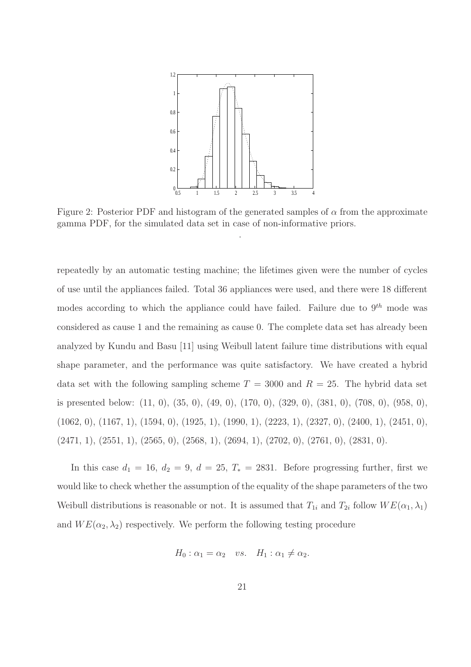

Figure 2: Posterior PDF and histogram of the generated samples of  $\alpha$  from the approximate gamma PDF, for the simulated data set in case of non-informative priors.

repeatedly by an automatic testing machine; the lifetimes given were the number of cycles of use until the appliances failed. Total 36 appliances were used, and there were 18 different modes according to which the appliance could have failed. Failure due to  $9^{th}$  mode was considered as cause 1 and the remaining as cause 0. The complete data set has already been analyzed by Kundu and Basu [11] using Weibull latent failure time distributions with equal shape parameter, and the performance was quite satisfactory. We have created a hybrid data set with the following sampling scheme  $T = 3000$  and  $R = 25$ . The hybrid data set is presented below: (11, 0), (35, 0), (49, 0), (170, 0), (329, 0), (381, 0), (708, 0), (958, 0), (1062, 0), (1167, 1), (1594, 0), (1925, 1), (1990, 1), (2223, 1), (2327, 0), (2400, 1), (2451, 0),  $(2471, 1), (2551, 1), (2565, 0), (2568, 1), (2694, 1), (2702, 0), (2761, 0), (2831, 0).$ 

In this case  $d_1 = 16$ ,  $d_2 = 9$ ,  $d = 25$ ,  $T_* = 2831$ . Before progressing further, first we would like to check whether the assumption of the equality of the shape parameters of the two Weibull distributions is reasonable or not. It is assumed that  $T_{1i}$  and  $T_{2i}$  follow  $WE(\alpha_1, \lambda_1)$ and  $WE(\alpha_2, \lambda_2)$  respectively. We perform the following testing procedure

$$
H_0: \alpha_1 = \alpha_2 \quad vs. \quad H_1: \alpha_1 \neq \alpha_2.
$$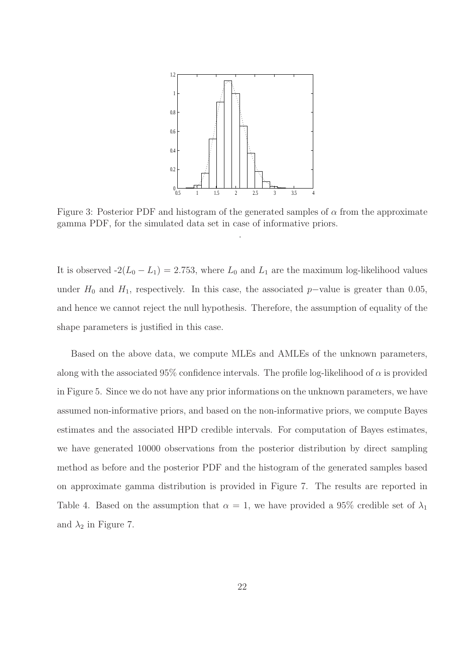

Figure 3: Posterior PDF and histogram of the generated samples of  $\alpha$  from the approximate gamma PDF, for the simulated data set in case of informative priors.

It is observed  $-2(L_0 - L_1) = 2.753$ , where  $L_0$  and  $L_1$  are the maximum log-likelihood values under  $H_0$  and  $H_1$ , respectively. In this case, the associated p–value is greater than 0.05, and hence we cannot reject the null hypothesis. Therefore, the assumption of equality of the shape parameters is justified in this case.

Based on the above data, we compute MLEs and AMLEs of the unknown parameters, along with the associated  $95\%$  confidence intervals. The profile log-likelihood of  $\alpha$  is provided in Figure 5. Since we do not have any prior informations on the unknown parameters, we have assumed non-informative priors, and based on the non-informative priors, we compute Bayes estimates and the associated HPD credible intervals. For computation of Bayes estimates, we have generated 10000 observations from the posterior distribution by direct sampling method as before and the posterior PDF and the histogram of the generated samples based on approximate gamma distribution is provided in Figure 7. The results are reported in Table 4. Based on the assumption that  $\alpha = 1$ , we have provided a 95% credible set of  $\lambda_1$ and  $\lambda_2$  in Figure 7.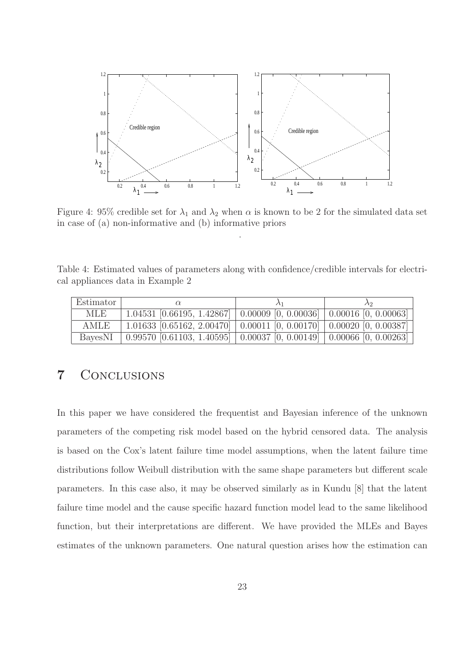

Figure 4: 95% credible set for  $\lambda_1$  and  $\lambda_2$  when  $\alpha$  is known to be 2 for the simulated data set in case of (a) non-informative and (b) informative priors

Table 4: Estimated values of parameters along with confidence/credible intervals for electrical appliances data in Example 2

| Estimator |                                                                                                  |  |
|-----------|--------------------------------------------------------------------------------------------------|--|
| MLE.      | $1.04531$ [0.66195, 1.42867]   0.00009 [0, 0.00036]   0.00016 [0, 0.00063]                       |  |
| AMLE      | $1.01633$ [0.65162, 2.00470] $\mid$ 0.00011 [0, 0.00170] $\mid$ 0.00020 [0, 0.00387]             |  |
| BavesNI   | $\mid$ 0.99570 [0.61103, 1.40595] $\mid$ 0.00037 [0, 0.00149] $\mid$ 0.00066 [0, 0.00263] $\mid$ |  |

## 7 Conclusions

In this paper we have considered the frequentist and Bayesian inference of the unknown parameters of the competing risk model based on the hybrid censored data. The analysis is based on the Cox's latent failure time model assumptions, when the latent failure time distributions follow Weibull distribution with the same shape parameters but different scale parameters. In this case also, it may be observed similarly as in Kundu [8] that the latent failure time model and the cause specific hazard function model lead to the same likelihood function, but their interpretations are different. We have provided the MLEs and Bayes estimates of the unknown parameters. One natural question arises how the estimation can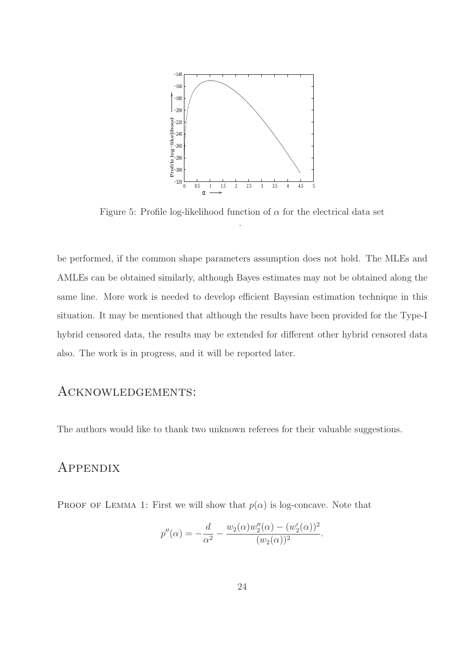

Figure 5: Profile log-likelihood function of  $\alpha$  for the electrical data set .

be performed, if the common shape parameters assumption does not hold. The MLEs and AMLEs can be obtained similarly, although Bayes estimates may not be obtained along the same line. More work is needed to develop efficient Bayesian estimation technique in this situation. It may be mentioned that although the results have been provided for the Type-I hybrid censored data, the results may be extended for different other hybrid censored data also. The work is in progress, and it will be reported later.

#### Acknowledgements:

The authors would like to thank two unknown referees for their valuable suggestions.

### **APPENDIX**

PROOF OF LEMMA 1: First we will show that  $p(\alpha)$  is log-concave. Note that

$$
p''(\alpha) = -\frac{d}{\alpha^2} - \frac{w_2(\alpha)w_2''(\alpha) - (w_2'(\alpha))^2}{(w_2(\alpha))^2}.
$$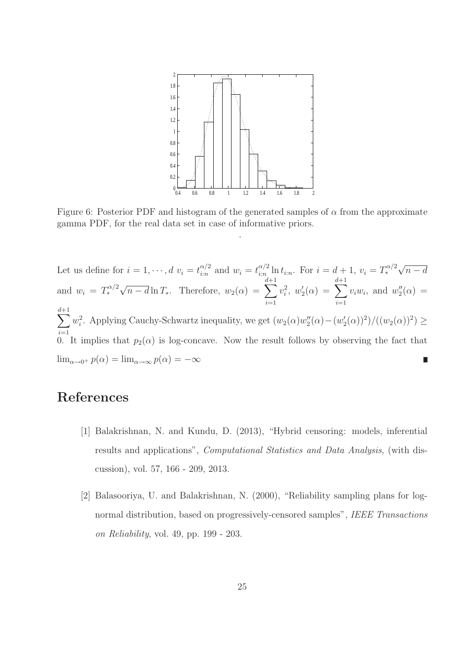

Figure 6: Posterior PDF and histogram of the generated samples of  $\alpha$  from the approximate gamma PDF, for the real data set in case of informative priors.

Let us define for  $i = 1, \dots, d$   $v_i = t_{i:n}^{\alpha/2}$  $\frac{\alpha/2}{i:n}$  and  $w_i = t_{i:n}^{\alpha/2}$  $\sum_{i=n}^{\alpha/2} \ln t_{i:n}$ . For  $i = d+1$ ,  $v_i = T_*^{\alpha/2} \sqrt{n-d}$ and  $w_i = T_*^{\alpha/2} \sqrt{n-d} \ln T_*$ . Therefore,  $w_2(\alpha) = \sum_{n=1}^{d+1} w_n^{\alpha}$  $i=1$  $v_i^2, w_2'$  $\zeta_2'(\alpha) \ =\ \sum^{d+1}$  $i=1$  $v_i w_i$ , and  $w''_2$  $2^{\prime\prime}$ ( $\alpha$ ) =  $\overline{\mathbf{C}}$  $i=1$  $w_i^2$ . Applying Cauchy-Schwartz inequality, we get  $(w_2(\alpha)w_2'')$  $2''_2(\alpha)-(w'_2)$  $\frac{1}{2}(\alpha)^2/((w_2(\alpha))^2) \ge$ 0. It implies that  $p_2(\alpha)$  is log-concave. Now the result follows by observing the fact that  $\lim_{\alpha \to 0^+} p(\alpha) = \lim_{\alpha \to \infty} p(\alpha) = -\infty$ 

## References

- [1] Balakrishnan, N. and Kundu, D. (2013), "Hybrid censoring: models, inferential results and applications", Computational Statistics and Data Analysis, (with discussion), vol. 57, 166 - 209, 2013.
- [2] Balasooriya, U. and Balakrishnan, N. (2000), "Reliability sampling plans for lognormal distribution, based on progressively-censored samples", IEEE Transactions on Reliability, vol. 49, pp. 199 - 203.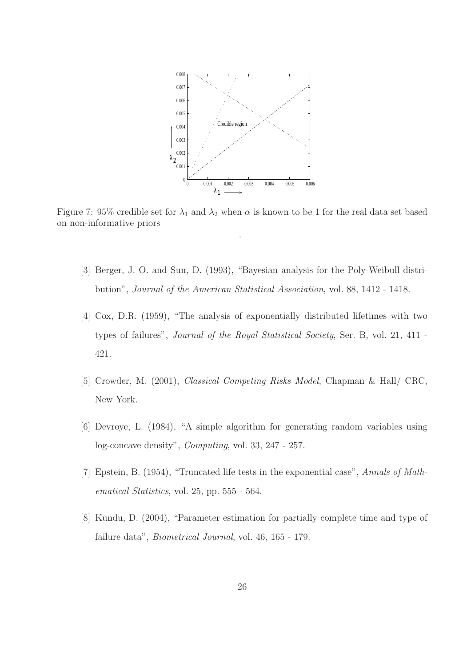

Figure 7: 95% credible set for  $\lambda_1$  and  $\lambda_2$  when  $\alpha$  is known to be 1 for the real data set based on non-informative priors

- [3] Berger, J. O. and Sun, D. (1993), "Bayesian analysis for the Poly-Weibull distribution", Journal of the American Statistical Association, vol. 88, 1412 - 1418.
- [4] Cox, D.R. (1959), "The analysis of exponentially distributed lifetimes with two types of failures", Journal of the Royal Statistical Society, Ser. B, vol. 21, 411 - 421.
- [5] Crowder, M. (2001), Classical Competing Risks Model, Chapman & Hall/ CRC, New York.
- [6] Devroye, L. (1984), "A simple algorithm for generating random variables using log-concave density", Computing, vol. 33, 247 - 257.
- [7] Epstein, B. (1954), "Truncated life tests in the exponential case", Annals of Mathematical Statistics, vol. 25, pp. 555 - 564.
- [8] Kundu, D. (2004), "Parameter estimation for partially complete time and type of failure data", Biometrical Journal, vol. 46, 165 - 179.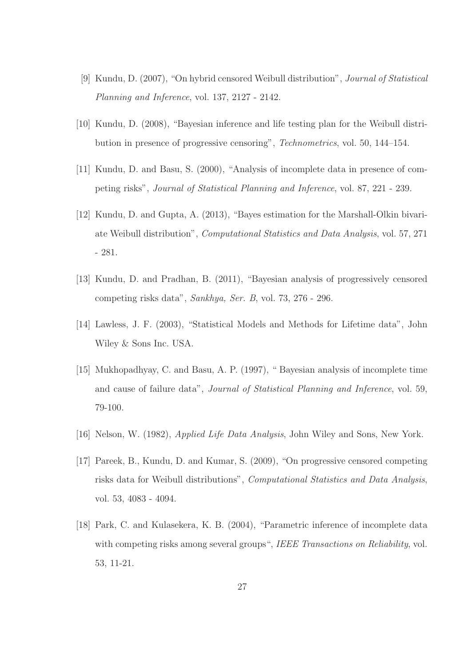- [9] Kundu, D. (2007), "On hybrid censored Weibull distribution", Journal of Statistical Planning and Inference, vol. 137, 2127 - 2142.
- [10] Kundu, D. (2008), "Bayesian inference and life testing plan for the Weibull distribution in presence of progressive censoring", Technometrics, vol. 50, 144–154.
- [11] Kundu, D. and Basu, S. (2000), "Analysis of incomplete data in presence of competing risks", Journal of Statistical Planning and Inference, vol. 87, 221 - 239.
- [12] Kundu, D. and Gupta, A. (2013), "Bayes estimation for the Marshall-Olkin bivariate Weibull distribution", Computational Statistics and Data Analysis, vol. 57, 271 - 281.
- [13] Kundu, D. and Pradhan, B. (2011), "Bayesian analysis of progressively censored competing risks data", Sankhya, Ser. B, vol. 73, 276 - 296.
- [14] Lawless, J. F. (2003), "Statistical Models and Methods for Lifetime data", John Wiley & Sons Inc. USA.
- [15] Mukhopadhyay, C. and Basu, A. P. (1997), " Bayesian analysis of incomplete time and cause of failure data", Journal of Statistical Planning and Inference, vol. 59, 79-100.
- [16] Nelson, W. (1982), Applied Life Data Analysis, John Wiley and Sons, New York.
- [17] Pareek, B., Kundu, D. and Kumar, S. (2009), "On progressive censored competing risks data for Weibull distributions", Computational Statistics and Data Analysis, vol. 53, 4083 - 4094.
- [18] Park, C. and Kulasekera, K. B. (2004), "Parametric inference of incomplete data with competing risks among several groups", IEEE Transactions on Reliability, vol. 53, 11-21.